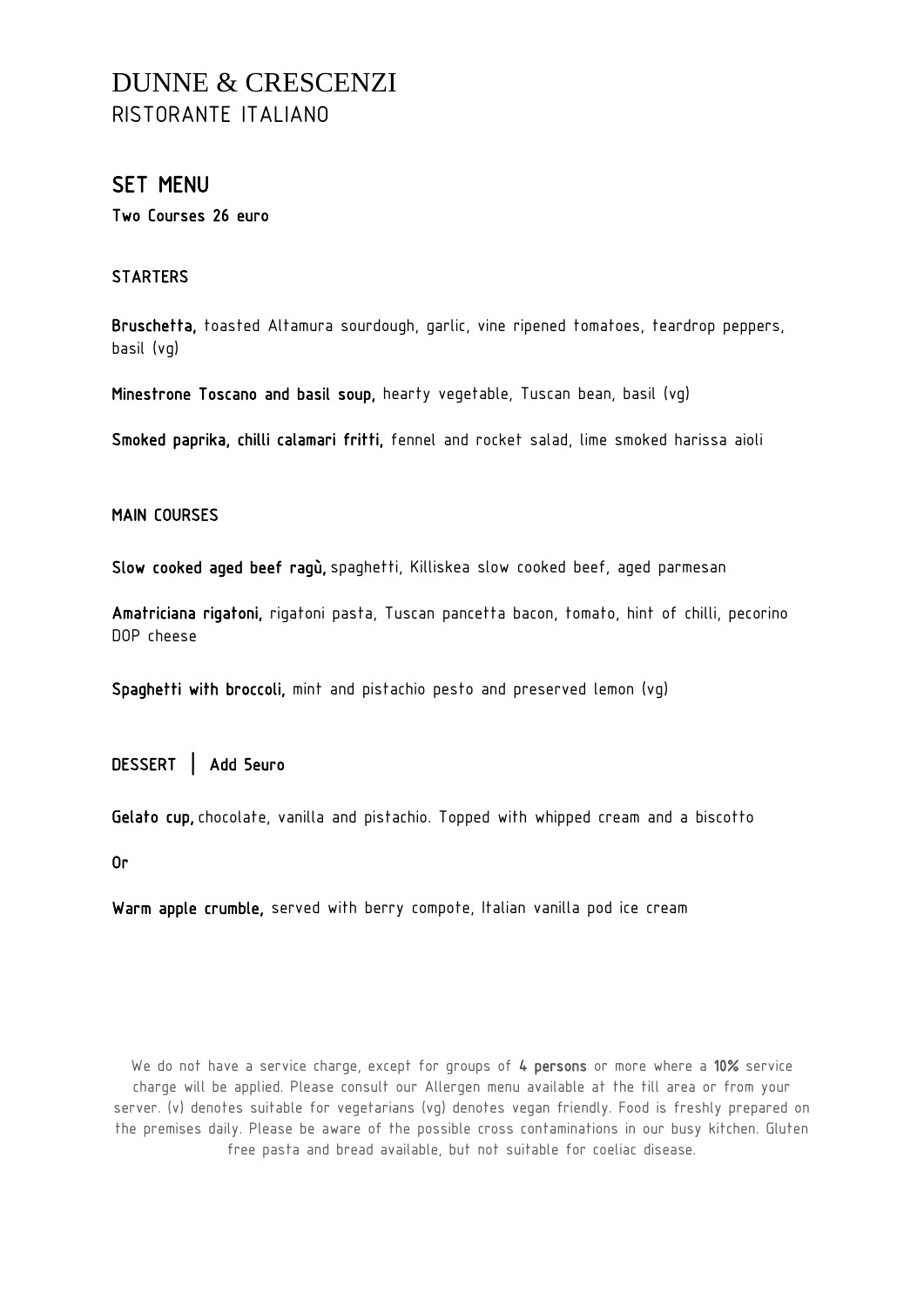# DUNNE & CRESCENZI RISTORANTE ITALIANO

## SET MENU

Two Courses 26 euro

### **STARTERS**

Bruschetta, toasted Altamura sourdough, garlic, vine ripened tomatoes, teardrop peppers, basil (vg)

Minestrone Toscano and basil soup, hearty vegetable, Tuscan bean, basil (vg)

Smoked paprika, chilli calamari fritti, fennel and rocket salad, lime smoked harissa aioli

### MAIN COURSES

Slow cooked aged beef ragù, spaghetti, Killiskea slow cooked beef, aged parmesan

Amatriciana rigatoni, rigatoni pasta, Tuscan pancetta bacon, tomato, hint of chilli, pecorino DOP cheese

Spaghetti with broccoli, mint and pistachio pesto and preserved lemon (vg)

DESSERT | Add 5euro

Gelato cup, chocolate, vanilla and pistachio. Topped with whipped cream and a biscotto

Or

Warm apple crumble, served with berry compote, Italian vanilla pod ice cream

We do not have a service charge, except for groups of 4 persons or more where a 10% service charge will be applied. Please consult our Allergen menu available at the till area or from your server. (v) denotes suitable for vegetarians (vg) denotes vegan friendly. Food is freshly prepared on the premises daily. Please be aware of the possible cross contaminations in our busy kitchen. Gluten free pasta and bread available, but not suitable for coeliac disease.